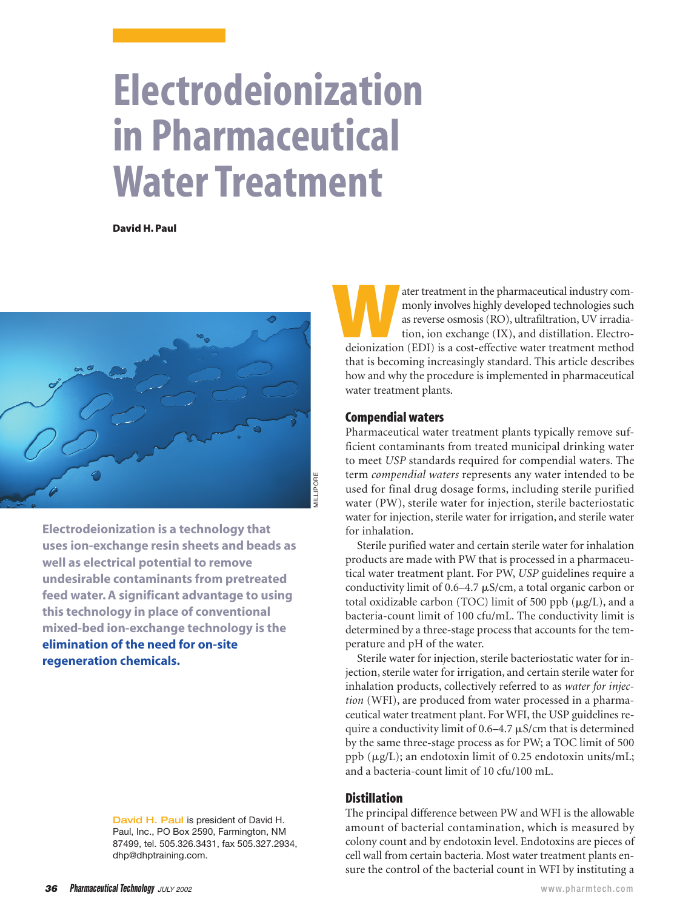# **Electrodeionization in Pharmaceutical Water Treatment**

**David H. Paul**



**Electrodeionization is a technology that uses ion-exchange resin sheets and beads as well as electrical potential to remove undesirable contaminants from pretreated feed water. A significant advantage to using this technology in place of conventional mixed-bed ion-exchange technology is the elimination of the need for on-site regeneration chemicals.**

> David H. Paul is president of David H. Paul, Inc., PO Box 2590, Farmington, NM 87499, tel. 505.326.3431, fax 505.327.2934, dhp@dhptraining.com.

ater treatment in the pharmaceutical industry commonly involves highly developed technologies such as reverse osmosis (RO), ultrafiltration, UV irradiation, ion exchange (IX), and distillation. Electroder treatment in the pharmaceutical industry commonly involves highly developed technologies such as reverse osmosis (RO), ultrafiltration, UV irradiation, ion exchange (IX), and distillation. Electrodeionization (EDI) is that is becoming increasingly standard. This article describes how and why the procedure is implemented in pharmaceutical water treatment plants.

## **Compendial waters**

Pharmaceutical water treatment plants typically remove sufficient contaminants from treated municipal drinking water to meet *USP* standards required for compendial waters. The term *compendial waters* represents any water intended to be used for final drug dosage forms, including sterile purified water (PW), sterile water for injection, sterile bacteriostatic water for injection, sterile water for irrigation, and sterile water for inhalation.

Sterile purified water and certain sterile water for inhalation products are made with PW that is processed in a pharmaceutical water treatment plant. For PW, *USP* guidelines require a conductivity limit of  $0.6-4.7 \mu s/cm$ , a total organic carbon or total oxidizable carbon (TOC) limit of 500 ppb (µg/L), and a bacteria-count limit of 100 cfu/mL. The conductivity limit is determined by a three-stage process that accounts for the temperature and pH of the water.

Sterile water for injection, sterile bacteriostatic water for injection, sterile water for irrigation, and certain sterile water for inhalation products, collectively referred to as *water for injection* (WFI), are produced from water processed in a pharmaceutical water treatment plant. For WFI, the USP guidelines require a conductivity limit of  $0.6 - 4.7 \mu s/cm$  that is determined by the same three-stage process as for PW; a TOC limit of 500 ppb ( $\mu$ g/L); an endotoxin limit of 0.25 endotoxin units/mL; and a bacteria-count limit of 10 cfu/100 mL.

## **Distillation**

The principal difference between PW and WFI is the allowable amount of bacterial contamination, which is measured by colony count and by endotoxin level. Endotoxins are pieces of cell wall from certain bacteria. Most water treatment plants ensure the control of the bacterial count in WFI by instituting a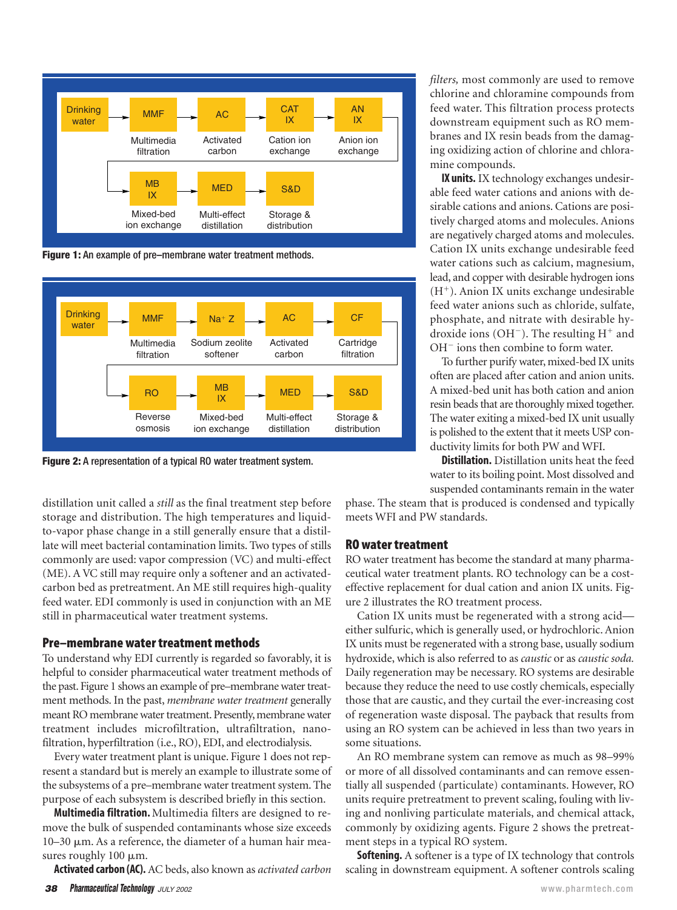

**Figure 1:** An example of pre–membrane water treatment methods.



**Figure 2:** A representation of a typical RO water treatment system.

distillation unit called a *still* as the final treatment step before storage and distribution. The high temperatures and liquidto-vapor phase change in a still generally ensure that a distillate will meet bacterial contamination limits. Two types of stills commonly are used: vapor compression (VC) and multi-effect (ME). A VC still may require only a softener and an activatedcarbon bed as pretreatment. An ME still requires high-quality feed water. EDI commonly is used in conjunction with an ME still in pharmaceutical water treatment systems.

#### **Pre–membrane water treatment methods**

To understand why EDI currently is regarded so favorably, it is helpful to consider pharmaceutical water treatment methods of the past. Figure 1 shows an example of pre–membrane water treatment methods. In the past, *membrane water treatment* generally meant RO membrane water treatment. Presently, membrane water treatment includes microfiltration, ultrafiltration, nanofiltration, hyperfiltration (i.e., RO), EDI, and electrodialysis.

Every water treatment plant is unique. Figure 1 does not represent a standard but is merely an example to illustrate some of the subsystems of a pre–membrane water treatment system. The purpose of each subsystem is described briefly in this section.

**Multimedia filtration.** Multimedia filters are designed to remove the bulk of suspended contaminants whose size exceeds  $10-30$   $\mu$ m. As a reference, the diameter of a human hair measures roughly  $100 \mu m$ .

**Activated carbon (AC).** AC beds, also known as *activated carbon*

*filters,* most commonly are used to remove chlorine and chloramine compounds from feed water. This filtration process protects downstream equipment such as RO membranes and IX resin beads from the damaging oxidizing action of chlorine and chloramine compounds.

**IX units.** IX technology exchanges undesirable feed water cations and anions with desirable cations and anions. Cations are positively charged atoms and molecules. Anions are negatively charged atoms and molecules. Cation IX units exchange undesirable feed water cations such as calcium, magnesium, lead, and copper with desirable hydrogen ions  $(H<sup>+</sup>)$ . Anion IX units exchange undesirable feed water anions such as chloride, sulfate, phosphate, and nitrate with desirable hydroxide ions ( $OH^-$ ). The resulting  $H^+$  and  $OH<sup>-</sup>$  ions then combine to form water.

To further purify water, mixed-bed IX units often are placed after cation and anion units. A mixed-bed unit has both cation and anion resin beads that are thoroughly mixed together. The water exiting a mixed-bed IX unit usually is polished to the extent that it meets USP conductivity limits for both PW and WFI.

**Distillation.** Distillation units heat the feed water to its boiling point. Most dissolved and suspended contaminants remain in the water

phase. The steam that is produced is condensed and typically meets WFI and PW standards.

#### **RO water treatment**

RO water treatment has become the standard at many pharmaceutical water treatment plants. RO technology can be a costeffective replacement for dual cation and anion IX units. Figure 2 illustrates the RO treatment process.

Cation IX units must be regenerated with a strong acid either sulfuric, which is generally used, or hydrochloric. Anion IX units must be regenerated with a strong base, usually sodium hydroxide, which is also referred to as *caustic* or as *caustic soda.* Daily regeneration may be necessary. RO systems are desirable because they reduce the need to use costly chemicals, especially those that are caustic, and they curtail the ever-increasing cost of regeneration waste disposal. The payback that results from using an RO system can be achieved in less than two years in some situations.

An RO membrane system can remove as much as 98–99% or more of all dissolved contaminants and can remove essentially all suspended (particulate) contaminants. However, RO units require pretreatment to prevent scaling, fouling with living and nonliving particulate materials, and chemical attack, commonly by oxidizing agents. Figure 2 shows the pretreatment steps in a typical RO system.

**Softening.** A softener is a type of IX technology that controls scaling in downstream equipment. A softener controls scaling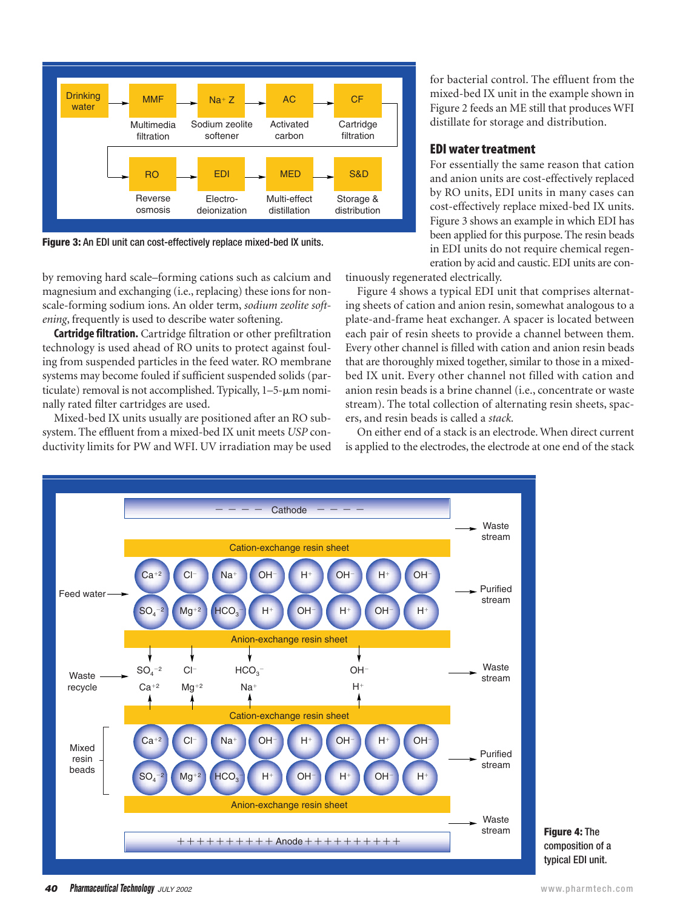

**Figure 3:** An EDI unit can cost-effectively replace mixed-bed IX units.

by removing hard scale–forming cations such as calcium and magnesium and exchanging (i.e., replacing) these ions for nonscale-forming sodium ions. An older term, *sodium zeolite softening*, frequently is used to describe water softening.

**Cartridge filtration.** Cartridge filtration or other prefiltration technology is used ahead of RO units to protect against fouling from suspended particles in the feed water. RO membrane systems may become fouled if sufficient suspended solids (particulate) removal is not accomplished. Typically, 1-5- $\mu$ m nominally rated filter cartridges are used.

Mixed-bed IX units usually are positioned after an RO subsystem. The effluent from a mixed-bed IX unit meets *USP* conductivity limits for PW and WFI. UV irradiation may be used for bacterial control. The effluent from the mixed-bed IX unit in the example shown in Figure 2 feeds an ME still that produces WFI distillate for storage and distribution.

#### **EDI water treatment**

For essentially the same reason that cation and anion units are cost-effectively replaced by RO units, EDI units in many cases can cost-effectively replace mixed-bed IX units. Figure 3 shows an example in which EDI has been applied for this purpose. The resin beads in EDI units do not require chemical regeneration by acid and caustic. EDI units are con-

tinuously regenerated electrically.

Figure 4 shows a typical EDI unit that comprises alternating sheets of cation and anion resin, somewhat analogous to a plate-and-frame heat exchanger. A spacer is located between each pair of resin sheets to provide a channel between them. Every other channel is filled with cation and anion resin beads that are thoroughly mixed together, similar to those in a mixedbed IX unit. Every other channel not filled with cation and anion resin beads is a brine channel (i.e., concentrate or waste stream). The total collection of alternating resin sheets, spacers, and resin beads is called a *stack.*

On either end of a stack is an electrode. When direct current is applied to the electrodes, the electrode at one end of the stack



**Figure 4:** The composition of a typical EDI unit.